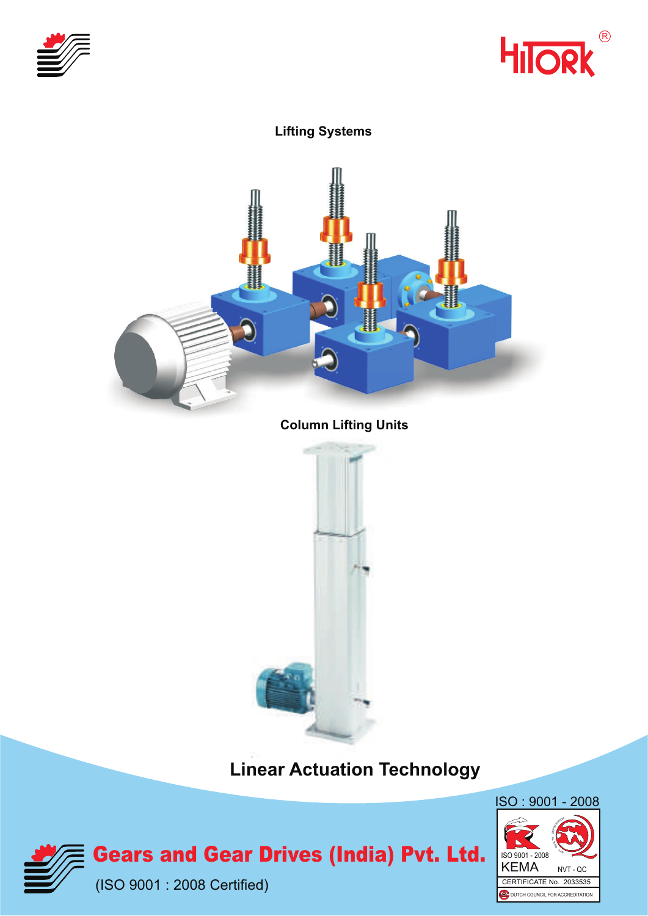



## **Lifting Systems Column Lifting Units**

**Linear Actuation Technology**





**Gears and Gear Drives (India) Pvt. Ltd.** 

(ISO 9001 : 2008 Certified)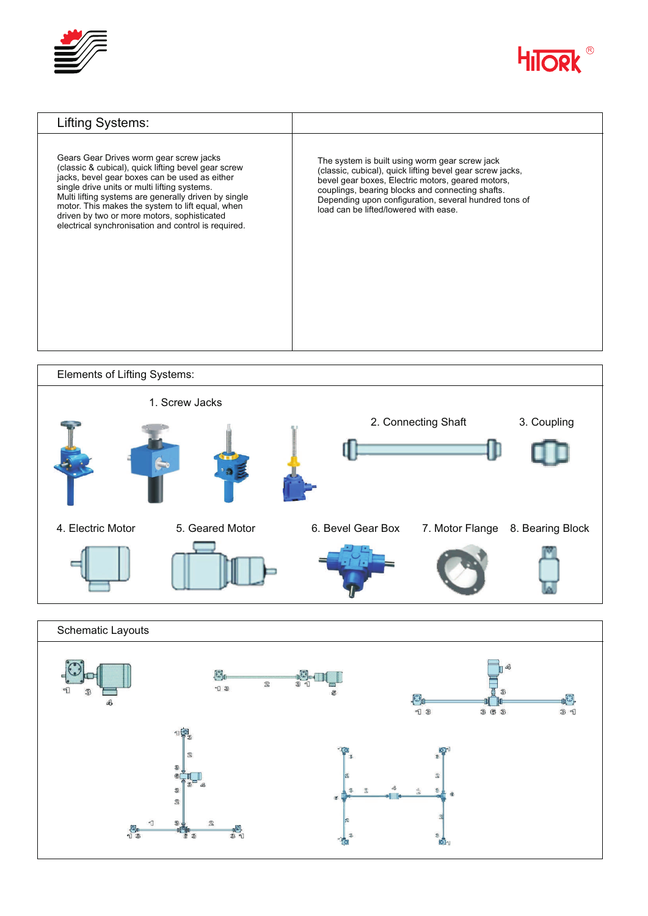







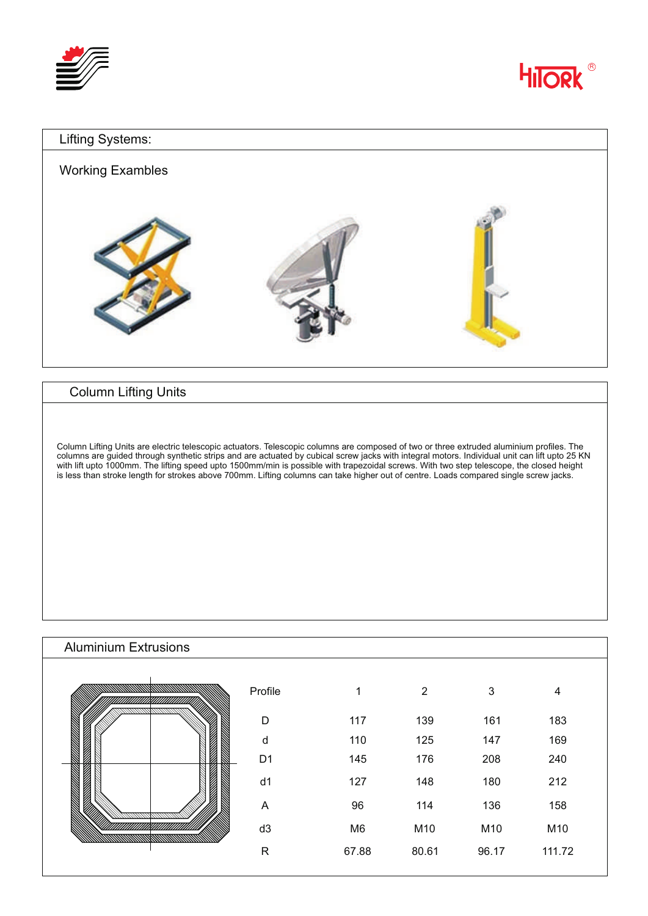



## Lifting Systems: Working Exambles

## Column Lifting Units

Column Lifting Units are electric telescopic actuators. Telescopic columns are composed of two or three extruded aluminium profiles. The columns are guided through synthetic strips and are actuated by cubical screw jacks with integral motors. Individual unit can lift upto 25 KN with lift upto 1000mm. The lifting speed upto 1500mm/min is possible with trapezoidal screws. With two step telescope, the closed height is less than stroke length for strokes above 700mm. Lifting columns can take higher out of centre. Loads compared single screw jacks.

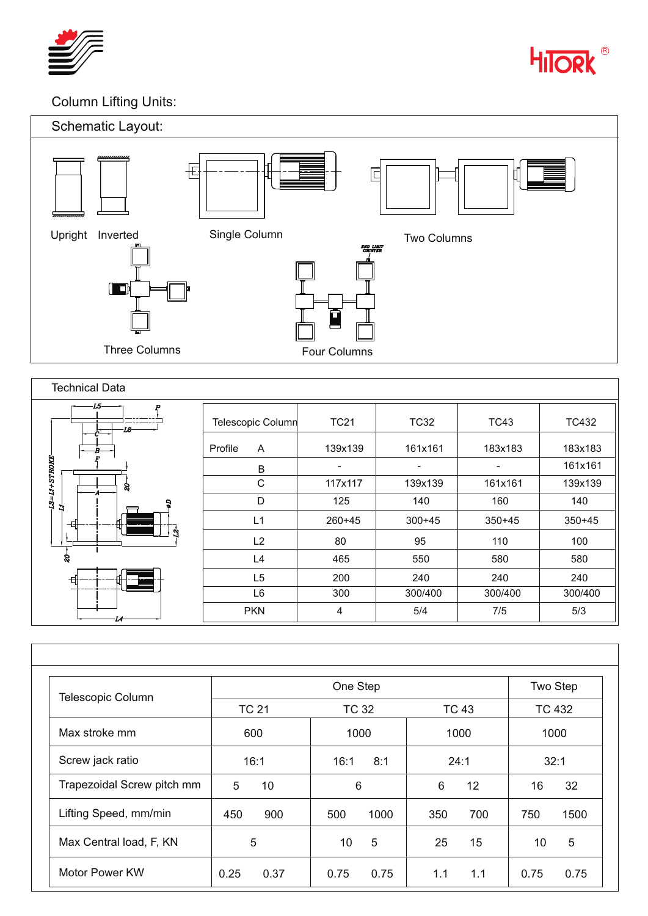



## Column Lifting Units:



| <b>Technical Data</b> |                         |             |            |            |            |
|-----------------------|-------------------------|-------------|------------|------------|------------|
| L5-<br>IG-            | Telescopic Column       | <b>TC21</b> | TC32       | TC43       | TC432      |
|                       | $\mathsf{A}$<br>Profile | 139x139     | 161x161    | 183x183    | 183x183    |
|                       | В                       |             | ۰          |            | 161x161    |
| L3=L1+STROKE<br>8     | $\mathsf{C}$            | 117x117     | 139x139    | 161x161    | 139x139    |
| ă                     | D                       | 125         | 140        | 160        | 140        |
| −ਥਿ+<br>ᇑ             | L1                      | $260+45$    | $300 + 45$ | $350 + 45$ | $350 + 45$ |
| w                     | L2                      | 80          | 95         | 110        | 100        |
| 8                     | L4                      | 465         | 550        | 580        | 580        |
| 타                     | L <sub>5</sub>          | 200         | 240        | 240        | 240        |
|                       | L <sub>6</sub>          | 300         | 300/400    | 300/400    | 300/400    |
|                       | <b>PKN</b>              | 4           | 5/4        | 7/5        | 5/3        |

| Telescopic Column          |              | Two Step     |                        |               |  |
|----------------------------|--------------|--------------|------------------------|---------------|--|
|                            | <b>TC 21</b> | <b>TC 32</b> | <b>TC 43</b>           | <b>TC 432</b> |  |
| Max stroke mm              | 600          | 1000         | 1000                   | 1000          |  |
| Screw jack ratio           | 16:1         | 16:1<br>8:1  | 24:1                   | 32:1          |  |
| Trapezoidal Screw pitch mm | 5<br>10      | 6            | 6<br>$12 \overline{ }$ | 32<br>16      |  |
| Lifting Speed, mm/min      | 900<br>450   | 1000<br>500  | 700<br>350             | 1500<br>750   |  |
| Max Central load, F, KN    | 5            | 5<br>10      | 25<br>15               | 5<br>10       |  |
| Motor Power KW             | 0.25<br>0.37 | 0.75<br>0.75 | 1.1<br>1.1             | 0.75<br>0.75  |  |